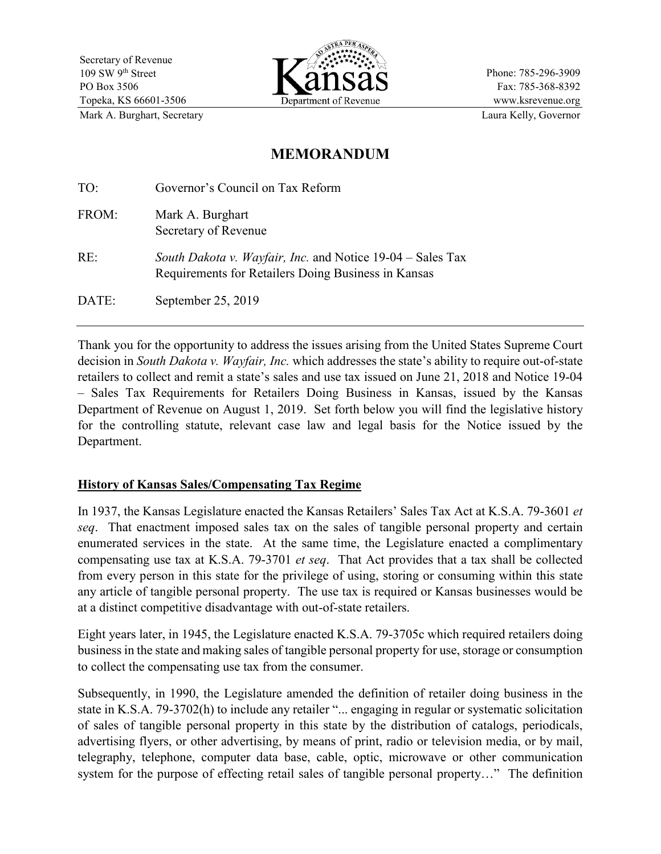

Phone: 785-296-3909 Fax: 785-368-8392 www.ksrevenue.org Mark A. Burghart, Secretary **Laura Kelly, Governor** Laura Kelly, Governor

# **MEMORANDUM**

| TO:   | Governor's Council on Tax Reform                                                                                  |
|-------|-------------------------------------------------------------------------------------------------------------------|
| FROM: | Mark A. Burghart<br>Secretary of Revenue                                                                          |
| RE:   | South Dakota v. Wayfair, Inc. and Notice 19-04 – Sales Tax<br>Requirements for Retailers Doing Business in Kansas |
| DATE: | September 25, 2019                                                                                                |

Thank you for the opportunity to address the issues arising from the United States Supreme Court decision in *South Dakota v. Wayfair, Inc.* which addresses the state's ability to require out-of-state retailers to collect and remit a state's sales and use tax issued on June 21, 2018 and Notice 19-04 – Sales Tax Requirements for Retailers Doing Business in Kansas, issued by the Kansas Department of Revenue on August 1, 2019. Set forth below you will find the legislative history for the controlling statute, relevant case law and legal basis for the Notice issued by the Department.

# **History of Kansas Sales/Compensating Tax Regime**

In 1937, the Kansas Legislature enacted the Kansas Retailers' Sales Tax Act at K.S.A. 79-3601 *et seq*. That enactment imposed sales tax on the sales of tangible personal property and certain enumerated services in the state. At the same time, the Legislature enacted a complimentary compensating use tax at K.S.A. 79-3701 *et seq*. That Act provides that a tax shall be collected from every person in this state for the privilege of using, storing or consuming within this state any article of tangible personal property. The use tax is required or Kansas businesses would be at a distinct competitive disadvantage with out-of-state retailers.

Eight years later, in 1945, the Legislature enacted K.S.A. 79-3705c which required retailers doing business in the state and making sales of tangible personal property for use, storage or consumption to collect the compensating use tax from the consumer.

Subsequently, in 1990, the Legislature amended the definition of retailer doing business in the state in K.S.A. 79-3702(h) to include any retailer "... engaging in regular or systematic solicitation of sales of tangible personal property in this state by the distribution of catalogs, periodicals, advertising flyers, or other advertising, by means of print, radio or television media, or by mail, telegraphy, telephone, computer data base, cable, optic, microwave or other communication system for the purpose of effecting retail sales of tangible personal property…" The definition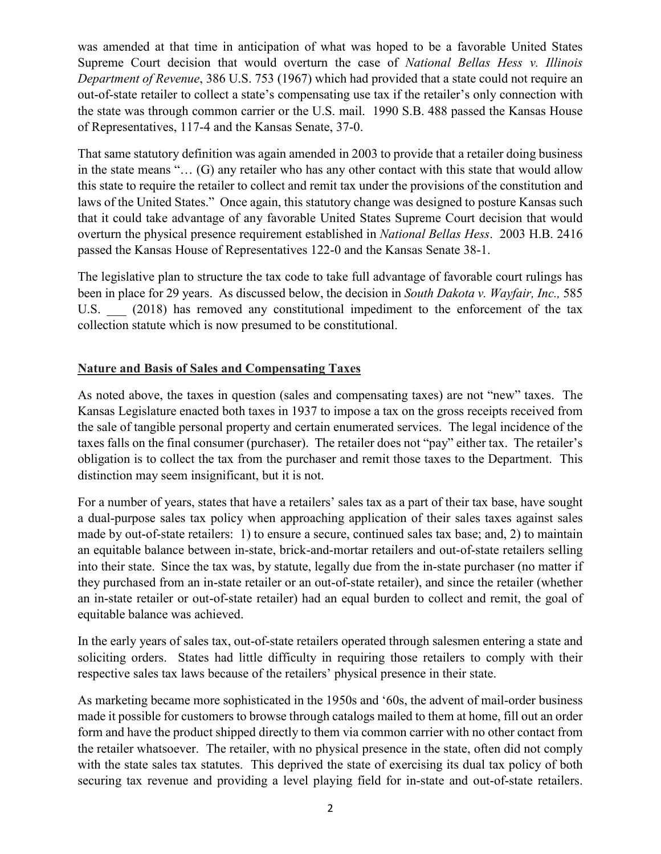was amended at that time in anticipation of what was hoped to be a favorable United States Supreme Court decision that would overturn the case of *National Bellas Hess v. Illinois Department of Revenue*, 386 U.S. 753 (1967) which had provided that a state could not require an out-of-state retailer to collect a state's compensating use tax if the retailer's only connection with the state was through common carrier or the U.S. mail. 1990 S.B. 488 passed the Kansas House of Representatives, 117-4 and the Kansas Senate, 37-0.

That same statutory definition was again amended in 2003 to provide that a retailer doing business in the state means "… (G) any retailer who has any other contact with this state that would allow this state to require the retailer to collect and remit tax under the provisions of the constitution and laws of the United States." Once again, this statutory change was designed to posture Kansas such that it could take advantage of any favorable United States Supreme Court decision that would overturn the physical presence requirement established in *National Bellas Hess*. 2003 H.B. 2416 passed the Kansas House of Representatives 122-0 and the Kansas Senate 38-1.

The legislative plan to structure the tax code to take full advantage of favorable court rulings has been in place for 29 years. As discussed below, the decision in *South Dakota v. Wayfair, Inc.,* 585 U.S. (2018) has removed any constitutional impediment to the enforcement of the tax collection statute which is now presumed to be constitutional.

# **Nature and Basis of Sales and Compensating Taxes**

As noted above, the taxes in question (sales and compensating taxes) are not "new" taxes. The Kansas Legislature enacted both taxes in 1937 to impose a tax on the gross receipts received from the sale of tangible personal property and certain enumerated services. The legal incidence of the taxes falls on the final consumer (purchaser). The retailer does not "pay" either tax. The retailer's obligation is to collect the tax from the purchaser and remit those taxes to the Department. This distinction may seem insignificant, but it is not.

For a number of years, states that have a retailers' sales tax as a part of their tax base, have sought a dual-purpose sales tax policy when approaching application of their sales taxes against sales made by out-of-state retailers: 1) to ensure a secure, continued sales tax base; and, 2) to maintain an equitable balance between in-state, brick-and-mortar retailers and out-of-state retailers selling into their state. Since the tax was, by statute, legally due from the in-state purchaser (no matter if they purchased from an in-state retailer or an out-of-state retailer), and since the retailer (whether an in-state retailer or out-of-state retailer) had an equal burden to collect and remit, the goal of equitable balance was achieved.

In the early years of sales tax, out-of-state retailers operated through salesmen entering a state and soliciting orders. States had little difficulty in requiring those retailers to comply with their respective sales tax laws because of the retailers' physical presence in their state.

As marketing became more sophisticated in the 1950s and '60s, the advent of mail-order business made it possible for customers to browse through catalogs mailed to them at home, fill out an order form and have the product shipped directly to them via common carrier with no other contact from the retailer whatsoever. The retailer, with no physical presence in the state, often did not comply with the state sales tax statutes. This deprived the state of exercising its dual tax policy of both securing tax revenue and providing a level playing field for in-state and out-of-state retailers.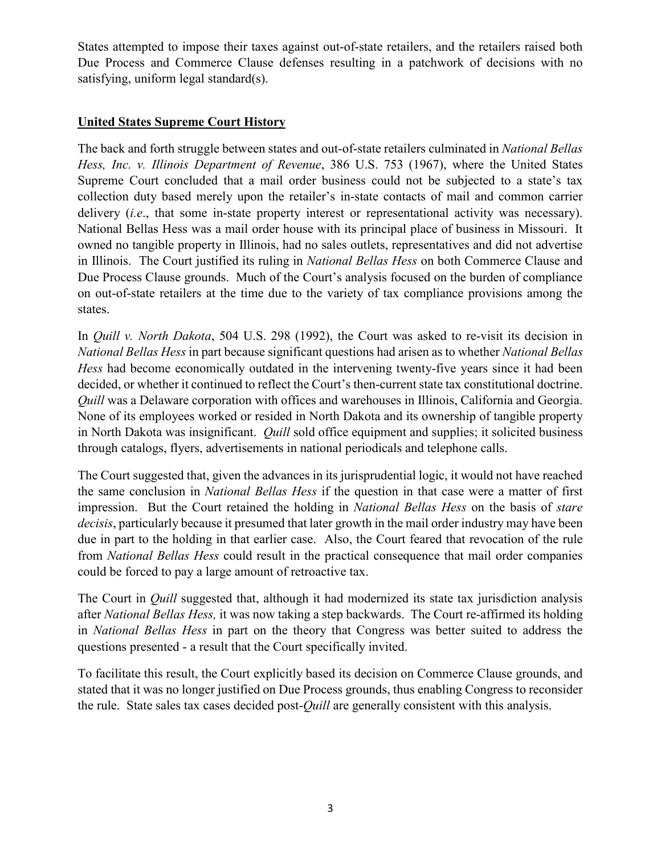States attempted to impose their taxes against out-of-state retailers, and the retailers raised both Due Process and Commerce Clause defenses resulting in a patchwork of decisions with no satisfying, uniform legal standard(s).

### **United States Supreme Court History**

The back and forth struggle between states and out-of-state retailers culminated in *National Bellas Hess, Inc. v. Illinois Department of Revenue*, 386 U.S. 753 (1967), where the United States Supreme Court concluded that a mail order business could not be subjected to a state's tax collection duty based merely upon the retailer's in-state contacts of mail and common carrier delivery *(i.e.*, that some in-state property interest or representational activity was necessary). National Bellas Hess was a mail order house with its principal place of business in Missouri. It owned no tangible property in Illinois, had no sales outlets, representatives and did not advertise in Illinois. The Court justified its ruling in *National Bellas Hess* on both Commerce Clause and Due Process Clause grounds. Much of the Court's analysis focused on the burden of compliance on out-of-state retailers at the time due to the variety of tax compliance provisions among the states.

In *Quill v. North Dakota*, 504 U.S. 298 (1992), the Court was asked to re-visit its decision in *National Bellas Hess* in part because significant questions had arisen as to whether *National Bellas Hess* had become economically outdated in the intervening twenty-five years since it had been decided, or whether it continued to reflect the Court's then-current state tax constitutional doctrine. *Quill* was a Delaware corporation with offices and warehouses in Illinois, California and Georgia. None of its employees worked or resided in North Dakota and its ownership of tangible property in North Dakota was insignificant. *Quill* sold office equipment and supplies; it solicited business through catalogs, flyers, advertisements in national periodicals and telephone calls.

The Court suggested that, given the advances in its jurisprudential logic, it would not have reached the same conclusion in *National Bellas Hess* if the question in that case were a matter of first impression. But the Court retained the holding in *National Bellas Hess* on the basis of *stare decisis*, particularly because it presumed that later growth in the mail order industry may have been due in part to the holding in that earlier case. Also, the Court feared that revocation of the rule from *National Bellas Hess* could result in the practical consequence that mail order companies could be forced to pay a large amount of retroactive tax.

The Court in *Quill* suggested that, although it had modernized its state tax jurisdiction analysis after *National Bellas Hess,* it was now taking a step backwards. The Court re-affirmed its holding in *National Bellas Hess* in part on the theory that Congress was better suited to address the questions presented - a result that the Court specifically invited.

To facilitate this result, the Court explicitly based its decision on Commerce Clause grounds, and stated that it was no longer justified on Due Process grounds, thus enabling Congress to reconsider the rule. State sales tax cases decided post-*Quill* are generally consistent with this analysis.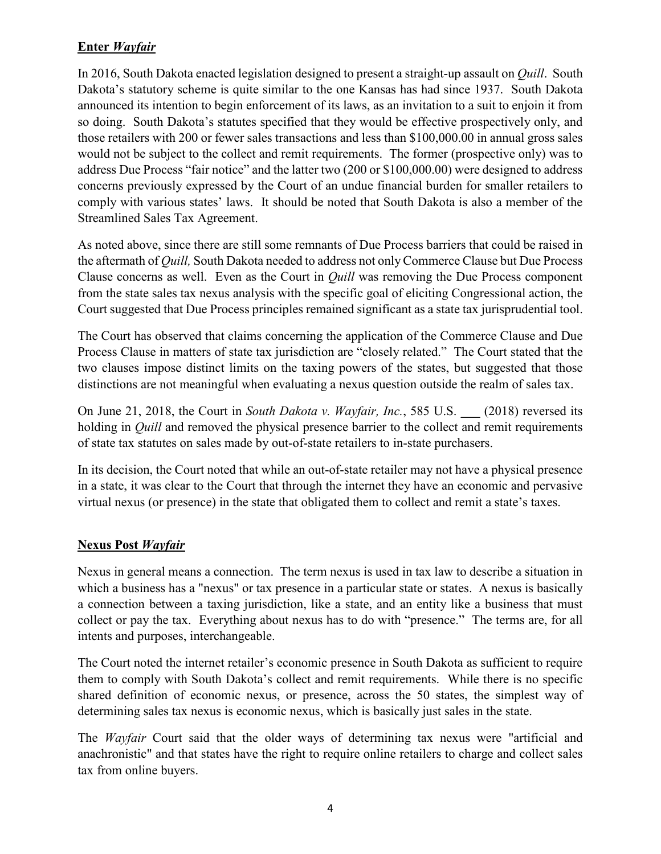# **Enter** *Wayfair*

In 2016, South Dakota enacted legislation designed to present a straight-up assault on *Quill*. South Dakota's statutory scheme is quite similar to the one Kansas has had since 1937. South Dakota announced its intention to begin enforcement of its laws, as an invitation to a suit to enjoin it from so doing. South Dakota's statutes specified that they would be effective prospectively only, and those retailers with 200 or fewer sales transactions and less than \$100,000.00 in annual gross sales would not be subject to the collect and remit requirements. The former (prospective only) was to address Due Process "fair notice" and the latter two (200 or \$100,000.00) were designed to address concerns previously expressed by the Court of an undue financial burden for smaller retailers to comply with various states' laws. It should be noted that South Dakota is also a member of the Streamlined Sales Tax Agreement.

As noted above, since there are still some remnants of Due Process barriers that could be raised in the aftermath of *Quill,* South Dakota needed to address not only Commerce Clause but Due Process Clause concerns as well. Even as the Court in *Quill* was removing the Due Process component from the state sales tax nexus analysis with the specific goal of eliciting Congressional action, the Court suggested that Due Process principles remained significant as a state tax jurisprudential tool.

The Court has observed that claims concerning the application of the Commerce Clause and Due Process Clause in matters of state tax jurisdiction are "closely related." The Court stated that the two clauses impose distinct limits on the taxing powers of the states, but suggested that those distinctions are not meaningful when evaluating a nexus question outside the realm of sales tax.

On June 21, 2018, the Court in *South Dakota v. Wayfair, Inc.*, 585 U.S. \_\_\_ (2018) reversed its holding in *Quill* and removed the physical presence barrier to the collect and remit requirements of state tax statutes on sales made by out-of-state retailers to in-state purchasers.

In its decision, the Court noted that while an out-of-state retailer may not have a physical presence in a state, it was clear to the Court that through the internet they have an economic and pervasive virtual nexus (or presence) in the state that obligated them to collect and remit a state's taxes.

### **Nexus Post** *Wayfair*

Nexus in general means a connection. The term nexus is used in tax law to describe a situation in which a business has a "nexus" or tax presence in a particular state or states. A nexus is basically a connection between a taxing jurisdiction, like a state, and an entity like a business that must collect or pay the tax. Everything about nexus has to do with "presence." The terms are, for all intents and purposes, interchangeable.

The Court noted the internet retailer's economic presence in South Dakota as sufficient to require them to comply with South Dakota's collect and remit requirements. While there is no specific shared definition of economic nexus, or presence, across the 50 states, the simplest way of determining sales tax nexus is economic nexus, which is basically just sales in the state.

The *Wayfair* Court said that the older ways of determining tax nexus were "artificial and anachronistic" and that states have the right to require online retailers to charge and collect sales tax from online buyers.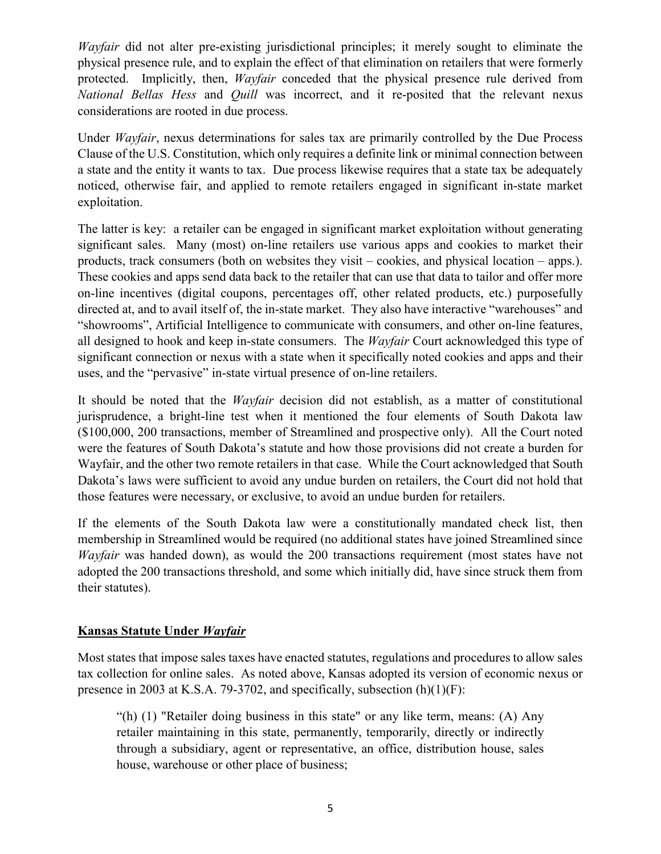*Wayfair* did not alter pre-existing jurisdictional principles; it merely sought to eliminate the physical presence rule, and to explain the effect of that elimination on retailers that were formerly protected. Implicitly, then, *Wayfair* conceded that the physical presence rule derived from *National Bellas Hess* and *Quill* was incorrect, and it re-posited that the relevant nexus considerations are rooted in due process.

Under *Wayfair*, nexus determinations for sales tax are primarily controlled by the Due Process Clause of the U.S. Constitution, which only requires a definite link or minimal connection between a state and the entity it wants to tax. Due process likewise requires that a state tax be adequately noticed, otherwise fair, and applied to remote retailers engaged in significant in-state market exploitation.

The latter is key: a retailer can be engaged in significant market exploitation without generating significant sales. Many (most) on-line retailers use various apps and cookies to market their products, track consumers (both on websites they visit – cookies, and physical location – apps.). These cookies and apps send data back to the retailer that can use that data to tailor and offer more on-line incentives (digital coupons, percentages off, other related products, etc.) purposefully directed at, and to avail itself of, the in-state market. They also have interactive "warehouses" and "showrooms", Artificial Intelligence to communicate with consumers, and other on-line features, all designed to hook and keep in-state consumers. The *Wayfair* Court acknowledged this type of significant connection or nexus with a state when it specifically noted cookies and apps and their uses, and the "pervasive" in-state virtual presence of on-line retailers.

It should be noted that the *Wayfair* decision did not establish, as a matter of constitutional jurisprudence, a bright-line test when it mentioned the four elements of South Dakota law (\$100,000, 200 transactions, member of Streamlined and prospective only). All the Court noted were the features of South Dakota's statute and how those provisions did not create a burden for Wayfair, and the other two remote retailers in that case. While the Court acknowledged that South Dakota's laws were sufficient to avoid any undue burden on retailers, the Court did not hold that those features were necessary, or exclusive, to avoid an undue burden for retailers.

If the elements of the South Dakota law were a constitutionally mandated check list, then membership in Streamlined would be required (no additional states have joined Streamlined since *Wayfair* was handed down), as would the 200 transactions requirement (most states have not adopted the 200 transactions threshold, and some which initially did, have since struck them from their statutes).

# **Kansas Statute Under** *Wayfair*

Most states that impose sales taxes have enacted statutes, regulations and procedures to allow sales tax collection for online sales. As noted above, Kansas adopted its version of economic nexus or presence in 2003 at K.S.A. 79-3702, and specifically, subsection (h)(1)(F):

"(h) (1) "Retailer doing business in this state" or any like term, means: (A) Any retailer maintaining in this state, permanently, temporarily, directly or indirectly through a subsidiary, agent or representative, an office, distribution house, sales house, warehouse or other place of business;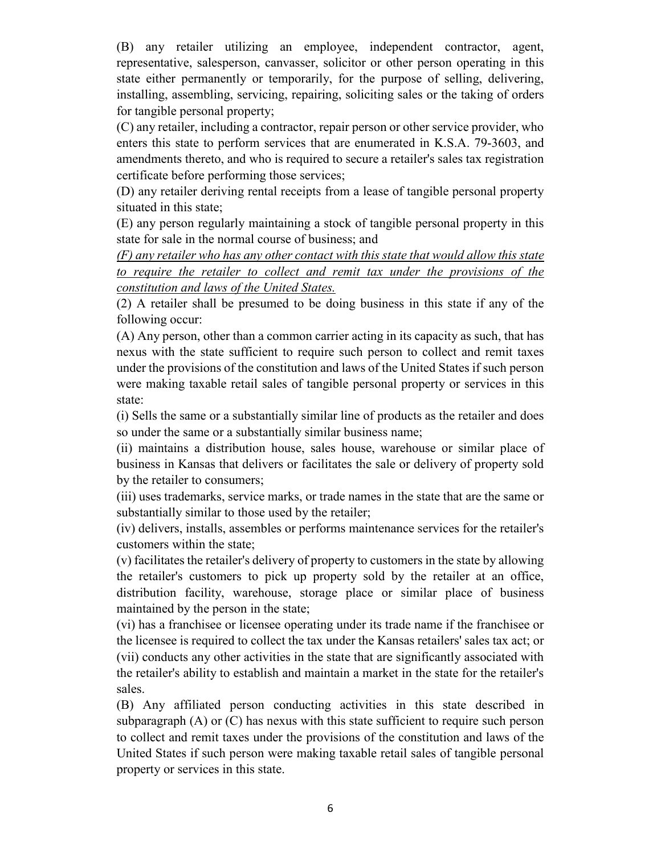(B) any retailer utilizing an employee, independent contractor, agent, representative, salesperson, canvasser, solicitor or other person operating in this state either permanently or temporarily, for the purpose of selling, delivering, installing, assembling, servicing, repairing, soliciting sales or the taking of orders for tangible personal property;

(C) any retailer, including a contractor, repair person or other service provider, who enters this state to perform services that are enumerated in K.S.A. 79-3603, and amendments thereto, and who is required to secure a retailer's sales tax registration certificate before performing those services;

(D) any retailer deriving rental receipts from a lease of tangible personal property situated in this state;

(E) any person regularly maintaining a stock of tangible personal property in this state for sale in the normal course of business; and

*(F) any retailer who has any other contact with this state that would allow this state to require the retailer to collect and remit tax under the provisions of the constitution and laws of the United States.*

(2) A retailer shall be presumed to be doing business in this state if any of the following occur:

(A) Any person, other than a common carrier acting in its capacity as such, that has nexus with the state sufficient to require such person to collect and remit taxes under the provisions of the constitution and laws of the United States if such person were making taxable retail sales of tangible personal property or services in this state:

(i) Sells the same or a substantially similar line of products as the retailer and does so under the same or a substantially similar business name;

(ii) maintains a distribution house, sales house, warehouse or similar place of business in Kansas that delivers or facilitates the sale or delivery of property sold by the retailer to consumers;

(iii) uses trademarks, service marks, or trade names in the state that are the same or substantially similar to those used by the retailer;

(iv) delivers, installs, assembles or performs maintenance services for the retailer's customers within the state;

(v) facilitates the retailer's delivery of property to customers in the state by allowing the retailer's customers to pick up property sold by the retailer at an office, distribution facility, warehouse, storage place or similar place of business maintained by the person in the state;

(vi) has a franchisee or licensee operating under its trade name if the franchisee or the licensee is required to collect the tax under the Kansas retailers' sales tax act; or (vii) conducts any other activities in the state that are significantly associated with the retailer's ability to establish and maintain a market in the state for the retailer's sales.

(B) Any affiliated person conducting activities in this state described in subparagraph (A) or (C) has nexus with this state sufficient to require such person to collect and remit taxes under the provisions of the constitution and laws of the United States if such person were making taxable retail sales of tangible personal property or services in this state.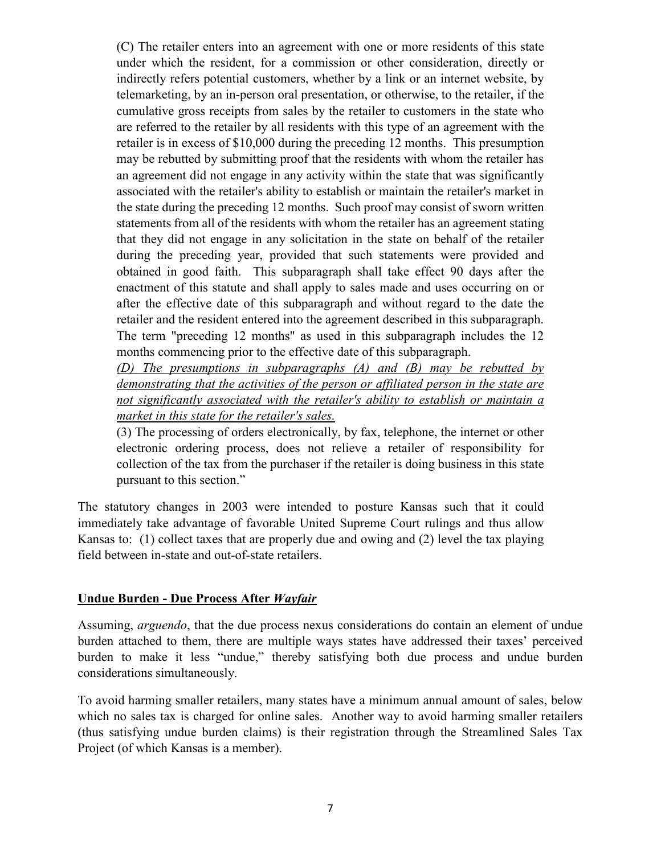(C) The retailer enters into an agreement with one or more residents of this state under which the resident, for a commission or other consideration, directly or indirectly refers potential customers, whether by a link or an internet website, by telemarketing, by an in-person oral presentation, or otherwise, to the retailer, if the cumulative gross receipts from sales by the retailer to customers in the state who are referred to the retailer by all residents with this type of an agreement with the retailer is in excess of \$10,000 during the preceding 12 months. This presumption may be rebutted by submitting proof that the residents with whom the retailer has an agreement did not engage in any activity within the state that was significantly associated with the retailer's ability to establish or maintain the retailer's market in the state during the preceding 12 months. Such proof may consist of sworn written statements from all of the residents with whom the retailer has an agreement stating that they did not engage in any solicitation in the state on behalf of the retailer during the preceding year, provided that such statements were provided and obtained in good faith. This subparagraph shall take effect 90 days after the enactment of this statute and shall apply to sales made and uses occurring on or after the effective date of this subparagraph and without regard to the date the retailer and the resident entered into the agreement described in this subparagraph. The term "preceding 12 months" as used in this subparagraph includes the 12 months commencing prior to the effective date of this subparagraph.

*(D) The presumptions in subparagraphs (A) and (B) may be rebutted by demonstrating that the activities of the person or affiliated person in the state are not significantly associated with the retailer's ability to establish or maintain a market in this state for the retailer's sales.*

(3) The processing of orders electronically, by fax, telephone, the internet or other electronic ordering process, does not relieve a retailer of responsibility for collection of the tax from the purchaser if the retailer is doing business in this state pursuant to this section."

The statutory changes in 2003 were intended to posture Kansas such that it could immediately take advantage of favorable United Supreme Court rulings and thus allow Kansas to: (1) collect taxes that are properly due and owing and (2) level the tax playing field between in-state and out-of-state retailers.

#### **Undue Burden - Due Process After** *Wayfair*

Assuming, *arguendo*, that the due process nexus considerations do contain an element of undue burden attached to them, there are multiple ways states have addressed their taxes' perceived burden to make it less "undue," thereby satisfying both due process and undue burden considerations simultaneously.

To avoid harming smaller retailers, many states have a minimum annual amount of sales, below which no sales tax is charged for online sales. Another way to avoid harming smaller retailers (thus satisfying undue burden claims) is their registration through the Streamlined Sales Tax Project (of which Kansas is a member).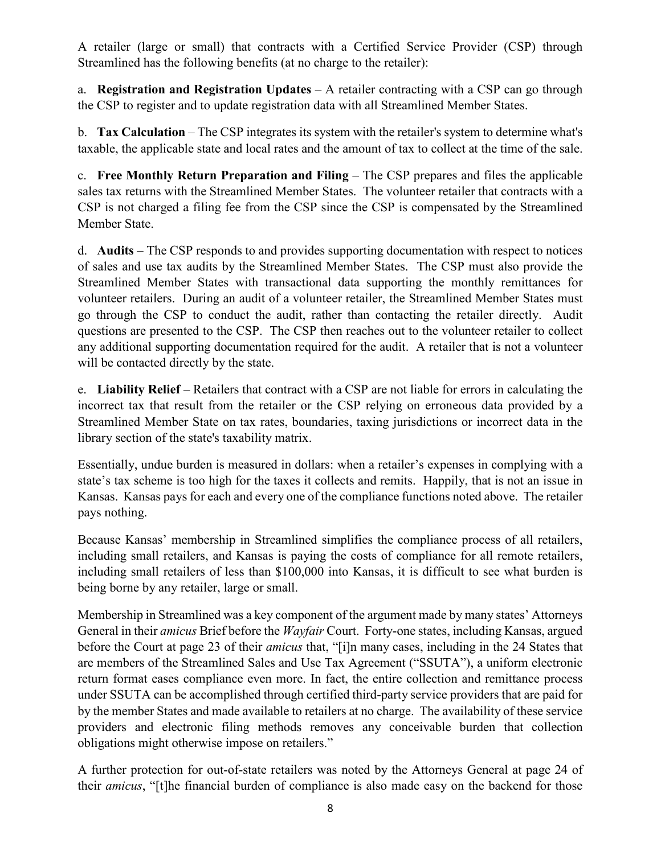A retailer (large or small) that contracts with a Certified Service Provider (CSP) through Streamlined has the following benefits (at no charge to the retailer):

a. **Registration and Registration Updates** – A retailer contracting with a CSP can go through the CSP to register and to update registration data with all Streamlined Member States.

b. **Tax Calculation** – The CSP integrates its system with the retailer's system to determine what's taxable, the applicable state and local rates and the amount of tax to collect at the time of the sale.

c. **Free Monthly Return Preparation and Filing** – The CSP prepares and files the applicable sales tax returns with the Streamlined Member States. The volunteer retailer that contracts with a CSP is not charged a filing fee from the CSP since the CSP is compensated by the Streamlined Member State.

d. **Audits** – The CSP responds to and provides supporting documentation with respect to notices of sales and use tax audits by the Streamlined Member States. The CSP must also provide the Streamlined Member States with transactional data supporting the monthly remittances for volunteer retailers. During an audit of a volunteer retailer, the Streamlined Member States must go through the CSP to conduct the audit, rather than contacting the retailer directly. Audit questions are presented to the CSP. The CSP then reaches out to the volunteer retailer to collect any additional supporting documentation required for the audit. A retailer that is not a volunteer will be contacted directly by the state.

e. **Liability Relief** – Retailers that contract with a CSP are not liable for errors in calculating the incorrect tax that result from the retailer or the CSP relying on erroneous data provided by a Streamlined Member State on tax rates, boundaries, taxing jurisdictions or incorrect data in the library section of the state's taxability matrix.

Essentially, undue burden is measured in dollars: when a retailer's expenses in complying with a state's tax scheme is too high for the taxes it collects and remits. Happily, that is not an issue in Kansas. Kansas pays for each and every one of the compliance functions noted above. The retailer pays nothing.

Because Kansas' membership in Streamlined simplifies the compliance process of all retailers, including small retailers, and Kansas is paying the costs of compliance for all remote retailers, including small retailers of less than \$100,000 into Kansas, it is difficult to see what burden is being borne by any retailer, large or small.

Membership in Streamlined was a key component of the argument made by many states' Attorneys General in their *amicus* Brief before the *Wayfair* Court. Forty-one states, including Kansas, argued before the Court at page 23 of their *amicus* that, "[i]n many cases, including in the 24 States that are members of the Streamlined Sales and Use Tax Agreement ("SSUTA"), a uniform electronic return format eases compliance even more. In fact, the entire collection and remittance process under SSUTA can be accomplished through certified third-party service providers that are paid for by the member States and made available to retailers at no charge. The availability of these service providers and electronic filing methods removes any conceivable burden that collection obligations might otherwise impose on retailers."

A further protection for out-of-state retailers was noted by the Attorneys General at page 24 of their *amicus*, "[t]he financial burden of compliance is also made easy on the backend for those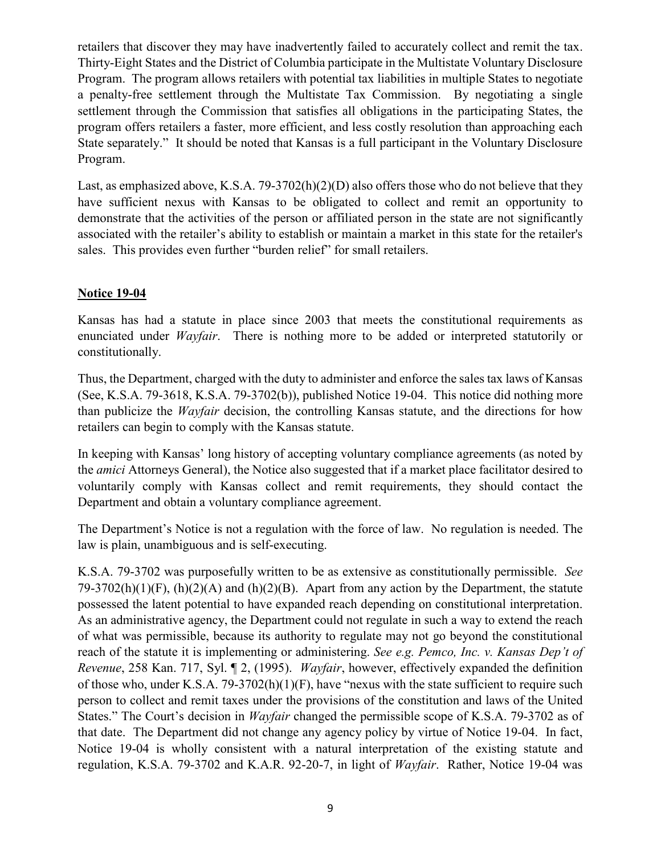retailers that discover they may have inadvertently failed to accurately collect and remit the tax. Thirty-Eight States and the District of Columbia participate in the Multistate Voluntary Disclosure Program. The program allows retailers with potential tax liabilities in multiple States to negotiate a penalty-free settlement through the Multistate Tax Commission. By negotiating a single settlement through the Commission that satisfies all obligations in the participating States, the program offers retailers a faster, more efficient, and less costly resolution than approaching each State separately." It should be noted that Kansas is a full participant in the Voluntary Disclosure Program.

Last, as emphasized above, K.S.A. 79-3702(h)(2)(D) also offers those who do not believe that they have sufficient nexus with Kansas to be obligated to collect and remit an opportunity to demonstrate that the activities of the person or affiliated person in the state are not significantly associated with the retailer's ability to establish or maintain a market in this state for the retailer's sales. This provides even further "burden relief" for small retailers.

### **Notice 19-04**

Kansas has had a statute in place since 2003 that meets the constitutional requirements as enunciated under *Wayfair*. There is nothing more to be added or interpreted statutorily or constitutionally.

Thus, the Department, charged with the duty to administer and enforce the sales tax laws of Kansas (See, K.S.A. 79-3618, K.S.A. 79-3702(b)), published Notice 19-04. This notice did nothing more than publicize the *Wayfair* decision, the controlling Kansas statute, and the directions for how retailers can begin to comply with the Kansas statute.

In keeping with Kansas' long history of accepting voluntary compliance agreements (as noted by the *amici* Attorneys General), the Notice also suggested that if a market place facilitator desired to voluntarily comply with Kansas collect and remit requirements, they should contact the Department and obtain a voluntary compliance agreement.

The Department's Notice is not a regulation with the force of law. No regulation is needed. The law is plain, unambiguous and is self-executing.

K.S.A. 79-3702 was purposefully written to be as extensive as constitutionally permissible. *See*   $79-3702(h)(1)(F)$ ,  $(h)(2)(A)$  and  $(h)(2)(B)$ . Apart from any action by the Department, the statute possessed the latent potential to have expanded reach depending on constitutional interpretation. As an administrative agency, the Department could not regulate in such a way to extend the reach of what was permissible, because its authority to regulate may not go beyond the constitutional reach of the statute it is implementing or administering. *See e.g. Pemco, Inc. v. Kansas Dep't of Revenue*, 258 Kan. 717, Syl. ¶ 2, (1995). *Wayfair*, however, effectively expanded the definition of those who, under K.S.A. 79-3702(h)(1)(F), have "nexus with the state sufficient to require such person to collect and remit taxes under the provisions of the constitution and laws of the United States." The Court's decision in *Wayfair* changed the permissible scope of K.S.A. 79-3702 as of that date. The Department did not change any agency policy by virtue of Notice 19-04. In fact, Notice 19-04 is wholly consistent with a natural interpretation of the existing statute and regulation, K.S.A. 79-3702 and K.A.R. 92-20-7, in light of *Wayfair*. Rather, Notice 19-04 was